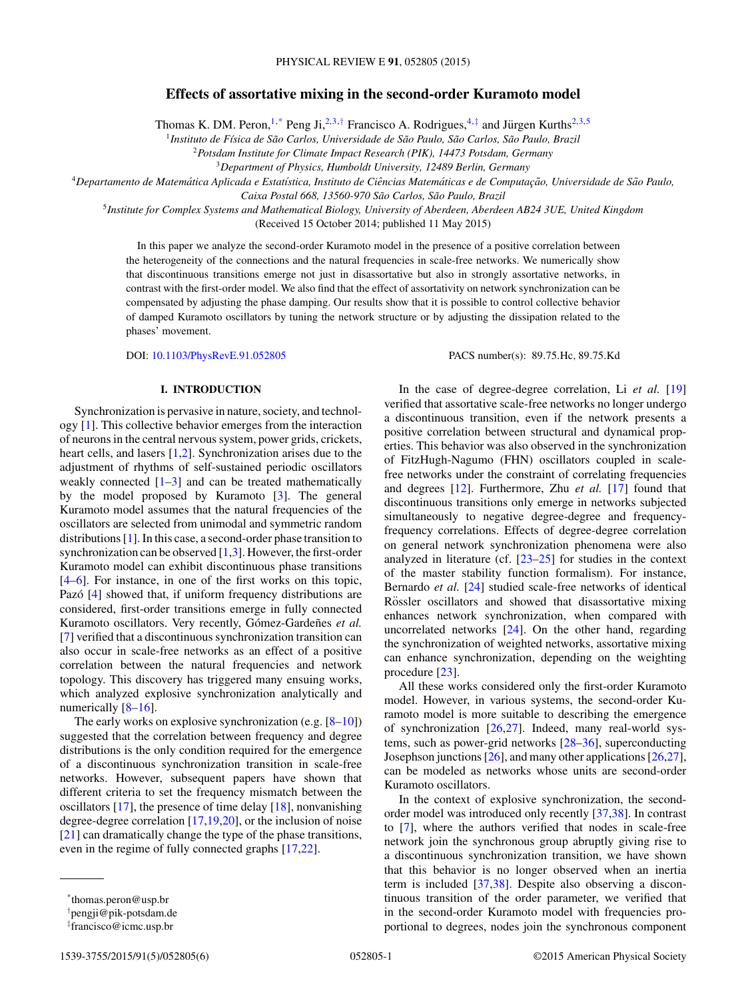# **Effects of assortative mixing in the second-order Kuramoto model**

Thomas K. DM. Peron,<sup>1,\*</sup> Peng Ji,<sup>2,3,†</sup> Francisco A. Rodrigues,<sup>4,‡</sup> and Jürgen Kurths<sup>2,3,5</sup>

<sup>1</sup>*Instituto de F´ısica de Sao Carlos, Universidade de S ˜ ao Paulo, S ˜ ao Carlos, S ˜ ao Paulo, Brazil ˜*

<sup>2</sup>*Potsdam Institute for Climate Impact Research (PIK), 14473 Potsdam, Germany*

<sup>3</sup>*Department of Physics, Humboldt University, 12489 Berlin, Germany*

<sup>4</sup>*Departamento de Matematica Aplicada e Estat ´ ´ıstica, Instituto de Ciencias Matem ˆ aticas e de Computac ´ ¸ao, Universidade de S ˜ ao Paulo, ˜*

*Caixa Postal 668, 13560-970 Sao Carlos, S ˜ ao Paulo, Brazil ˜*

<sup>5</sup>*Institute for Complex Systems and Mathematical Biology, University of Aberdeen, Aberdeen AB24 3UE, United Kingdom*

(Received 15 October 2014; published 11 May 2015)

In this paper we analyze the second-order Kuramoto model in the presence of a positive correlation between the heterogeneity of the connections and the natural frequencies in scale-free networks. We numerically show that discontinuous transitions emerge not just in disassortative but also in strongly assortative networks, in contrast with the first-order model. We also find that the effect of assortativity on network synchronization can be compensated by adjusting the phase damping. Our results show that it is possible to control collective behavior of damped Kuramoto oscillators by tuning the network structure or by adjusting the dissipation related to the phases' movement.

DOI: [10.1103/PhysRevE.91.052805](http://dx.doi.org/10.1103/PhysRevE.91.052805) PACS number(s): 89*.*75*.*Hc*,* 89*.*75*.*Kd

In the case of degree-degree correlation, Li *et al.* [\[19\]](#page-5-0)

#### **I. INTRODUCTION**

Synchronization is pervasive in nature, society, and technology [\[1\]](#page-5-0). This collective behavior emerges from the interaction of neurons in the central nervous system, power grids, crickets, heart cells, and lasers [\[1,2\]](#page-5-0). Synchronization arises due to the adjustment of rhythms of self-sustained periodic oscillators weakly connected [\[1–3\]](#page-5-0) and can be treated mathematically by the model proposed by Kuramoto [\[3\]](#page-5-0). The general Kuramoto model assumes that the natural frequencies of the oscillators are selected from unimodal and symmetric random distributions [\[1\]](#page-5-0). In this case, a second-order phase transition to synchronization can be observed  $[1,3]$ . However, the first-order Kuramoto model can exhibit discontinuous phase transitions [\[4–6\]](#page-5-0). For instance, in one of the first works on this topic, Pazó [[4\]](#page-5-0) showed that, if uniform frequency distributions are considered, first-order transitions emerge in fully connected Kuramoto oscillators. Very recently, Gómez-Gardeñes et al. [\[7\]](#page-5-0) verified that a discontinuous synchronization transition can also occur in scale-free networks as an effect of a positive correlation between the natural frequencies and network topology. This discovery has triggered many ensuing works, which analyzed explosive synchronization analytically and numerically [\[8–16\]](#page-5-0).

The early works on explosive synchronization (e.g.  $[8-10]$ ) suggested that the correlation between frequency and degree distributions is the only condition required for the emergence of a discontinuous synchronization transition in scale-free networks. However, subsequent papers have shown that different criteria to set the frequency mismatch between the oscillators  $[17]$ , the presence of time delay  $[18]$ , nonvanishing degree-degree correlation [\[17,19,20\]](#page-5-0), or the inclusion of noise [\[21\]](#page-5-0) can dramatically change the type of the phase transitions, even in the regime of fully connected graphs [\[17,22\]](#page-5-0).

verified that assortative scale-free networks no longer undergo a discontinuous transition, even if the network presents a positive correlation between structural and dynamical properties. This behavior was also observed in the synchronization of FitzHugh-Nagumo (FHN) oscillators coupled in scalefree networks under the constraint of correlating frequencies and degrees [\[12\]](#page-5-0). Furthermore, Zhu *et al.* [\[17\]](#page-5-0) found that discontinuous transitions only emerge in networks subjected simultaneously to negative degree-degree and frequencyfrequency correlations. Effects of degree-degree correlation on general network synchronization phenomena were also analyzed in literature (cf.  $[23-25]$  for studies in the context of the master stability function formalism). For instance, Bernardo *et al.* [\[24\]](#page-5-0) studied scale-free networks of identical Rössler oscillators and showed that disassortative mixing enhances network synchronization, when compared with uncorrelated networks [\[24\]](#page-5-0). On the other hand, regarding the synchronization of weighted networks, assortative mixing can enhance synchronization, depending on the weighting procedure [\[23\]](#page-5-0).

All these works considered only the first-order Kuramoto model. However, in various systems, the second-order Kuramoto model is more suitable to describing the emergence of synchronization  $[26,27]$ . Indeed, many real-world systems, such as power-grid networks  $[28-36]$ , superconducting Josephson junctions [\[26\]](#page-5-0), and many other applications [\[26,27\]](#page-5-0), can be modeled as networks whose units are second-order Kuramoto oscillators.

In the context of explosive synchronization, the secondorder model was introduced only recently [\[37,38\]](#page-5-0). In contrast to [\[7\]](#page-5-0), where the authors verified that nodes in scale-free network join the synchronous group abruptly giving rise to a discontinuous synchronization transition, we have shown that this behavior is no longer observed when an inertia term is included [\[37,38\]](#page-5-0). Despite also observing a discontinuous transition of the order parameter, we verified that in the second-order Kuramoto model with frequencies proportional to degrees, nodes join the synchronous component

<sup>\*</sup>thomas.peron@usp.br

<sup>†</sup> pengji@pik-potsdam.de

<sup>‡</sup> francisco@icmc.usp.br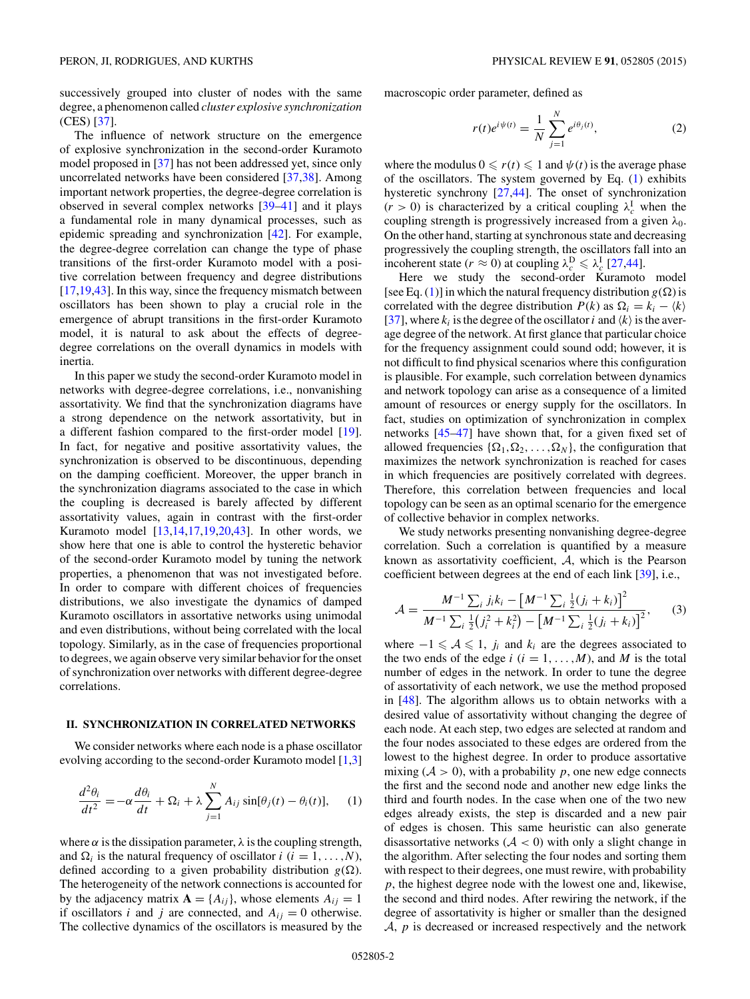<span id="page-1-0"></span>successively grouped into cluster of nodes with the same degree, a phenomenon called *cluster explosive synchronization* (CES) [\[37\]](#page-5-0).

The influence of network structure on the emergence of explosive synchronization in the second-order Kuramoto model proposed in [\[37\]](#page-5-0) has not been addressed yet, since only uncorrelated networks have been considered [\[37,38\]](#page-5-0). Among important network properties, the degree-degree correlation is observed in several complex networks [\[39–41\]](#page-5-0) and it plays a fundamental role in many dynamical processes, such as epidemic spreading and synchronization [\[42\]](#page-5-0). For example, the degree-degree correlation can change the type of phase transitions of the first-order Kuramoto model with a positive correlation between frequency and degree distributions [\[17,19,43\]](#page-5-0). In this way, since the frequency mismatch between oscillators has been shown to play a crucial role in the emergence of abrupt transitions in the first-order Kuramoto model, it is natural to ask about the effects of degreedegree correlations on the overall dynamics in models with inertia.

In this paper we study the second-order Kuramoto model in networks with degree-degree correlations, i.e., nonvanishing assortativity. We find that the synchronization diagrams have a strong dependence on the network assortativity, but in a different fashion compared to the first-order model [\[19\]](#page-5-0). In fact, for negative and positive assortativity values, the synchronization is observed to be discontinuous, depending on the damping coefficient. Moreover, the upper branch in the synchronization diagrams associated to the case in which the coupling is decreased is barely affected by different assortativity values, again in contrast with the first-order Kuramoto model [\[13,14,17,19,20,43\]](#page-5-0). In other words, we show here that one is able to control the hysteretic behavior of the second-order Kuramoto model by tuning the network properties, a phenomenon that was not investigated before. In order to compare with different choices of frequencies distributions, we also investigate the dynamics of damped Kuramoto oscillators in assortative networks using unimodal and even distributions, without being correlated with the local topology. Similarly, as in the case of frequencies proportional to degrees, we again observe very similar behavior for the onset of synchronization over networks with different degree-degree correlations.

#### **II. SYNCHRONIZATION IN CORRELATED NETWORKS**

We consider networks where each node is a phase oscillator evolving according to the second-order Kuramoto model [\[1,3\]](#page-5-0)

$$
\frac{d^2\theta_i}{dt^2} = -\alpha \frac{d\theta_i}{dt} + \Omega_i + \lambda \sum_{j=1}^N A_{ij} \sin[\theta_j(t) - \theta_i(t)], \quad (1)
$$

where  $\alpha$  is the dissipation parameter,  $\lambda$  is the coupling strength, and  $\Omega_i$  is the natural frequency of oscillator *i* (*i* = 1, ..., *N*), defined according to a given probability distribution  $g(\Omega)$ . The heterogeneity of the network connections is accounted for by the adjacency matrix  $\mathbf{A} = \{A_{ij}\}\$ , whose elements  $A_{ij} = 1$ if oscillators *i* and *j* are connected, and  $A_{ij} = 0$  otherwise. The collective dynamics of the oscillators is measured by the

macroscopic order parameter, defined as

$$
r(t)e^{i\psi(t)} = \frac{1}{N} \sum_{j=1}^{N} e^{i\theta_j(t)},
$$
\n(2)

where the modulus  $0 \le r(t) \le 1$  and  $\psi(t)$  is the average phase of the oscillators. The system governed by Eq. (1) exhibits hysteretic synchrony [\[27,44\]](#page-5-0). The onset of synchronization  $(r > 0)$  is characterized by a critical coupling  $\lambda_c^{\text{I}}$  when the coupling strength is progressively increased from a given *λ*0. On the other hand, starting at synchronous state and decreasing progressively the coupling strength, the oscillators fall into an incoherent state ( $r \approx 0$ ) at coupling  $\lambda_c^D \leq \lambda_c^I$  [\[27,44\]](#page-5-0).

Here we study the second-order Kuramoto model [see Eq. (1)] in which the natural frequency distribution  $g(\Omega)$  is correlated with the degree distribution  $P(k)$  as  $\Omega_i = k_i - \langle k \rangle$ [\[37\]](#page-5-0), where  $k_i$  is the degree of the oscillator *i* and  $\langle k \rangle$  is the average degree of the network. At first glance that particular choice for the frequency assignment could sound odd; however, it is not difficult to find physical scenarios where this configuration is plausible. For example, such correlation between dynamics and network topology can arise as a consequence of a limited amount of resources or energy supply for the oscillators. In fact, studies on optimization of synchronization in complex networks [\[45–47\]](#page-5-0) have shown that, for a given fixed set of allowed frequencies  $\{\Omega_1, \Omega_2, \ldots, \Omega_N\}$ , the configuration that maximizes the network synchronization is reached for cases in which frequencies are positively correlated with degrees. Therefore, this correlation between frequencies and local topology can be seen as an optimal scenario for the emergence of collective behavior in complex networks.

We study networks presenting nonvanishing degree-degree correlation. Such a correlation is quantified by a measure known as assortativity coefficient, A, which is the Pearson coefficient between degrees at the end of each link [\[39\]](#page-5-0), i.e.,

$$
\mathcal{A} = \frac{M^{-1} \sum_{i} j_{i} k_{i} - \left[M^{-1} \sum_{i} \frac{1}{2} (j_{i} + k_{i})\right]^{2}}{M^{-1} \sum_{i} \frac{1}{2} (j_{i}^{2} + k_{i}^{2}) - \left[M^{-1} \sum_{i} \frac{1}{2} (j_{i} + k_{i})\right]^{2}},
$$
(3)

where  $-1 \leq A \leq 1$ , *j<sub>i</sub>* and  $k_i$  are the degrees associated to the two ends of the edge  $i$  ( $i = 1, ..., M$ ), and M is the total number of edges in the network. In order to tune the degree of assortativity of each network, we use the method proposed in [\[48\]](#page-5-0). The algorithm allows us to obtain networks with a desired value of assortativity without changing the degree of each node. At each step, two edges are selected at random and the four nodes associated to these edges are ordered from the lowest to the highest degree. In order to produce assortative mixing  $(A > 0)$ , with a probability p, one new edge connects the first and the second node and another new edge links the third and fourth nodes. In the case when one of the two new edges already exists, the step is discarded and a new pair of edges is chosen. This same heuristic can also generate disassortative networks  $(A < 0)$  with only a slight change in the algorithm. After selecting the four nodes and sorting them with respect to their degrees, one must rewire, with probability *p*, the highest degree node with the lowest one and, likewise, the second and third nodes. After rewiring the network, if the degree of assortativity is higher or smaller than the designed A, *p* is decreased or increased respectively and the network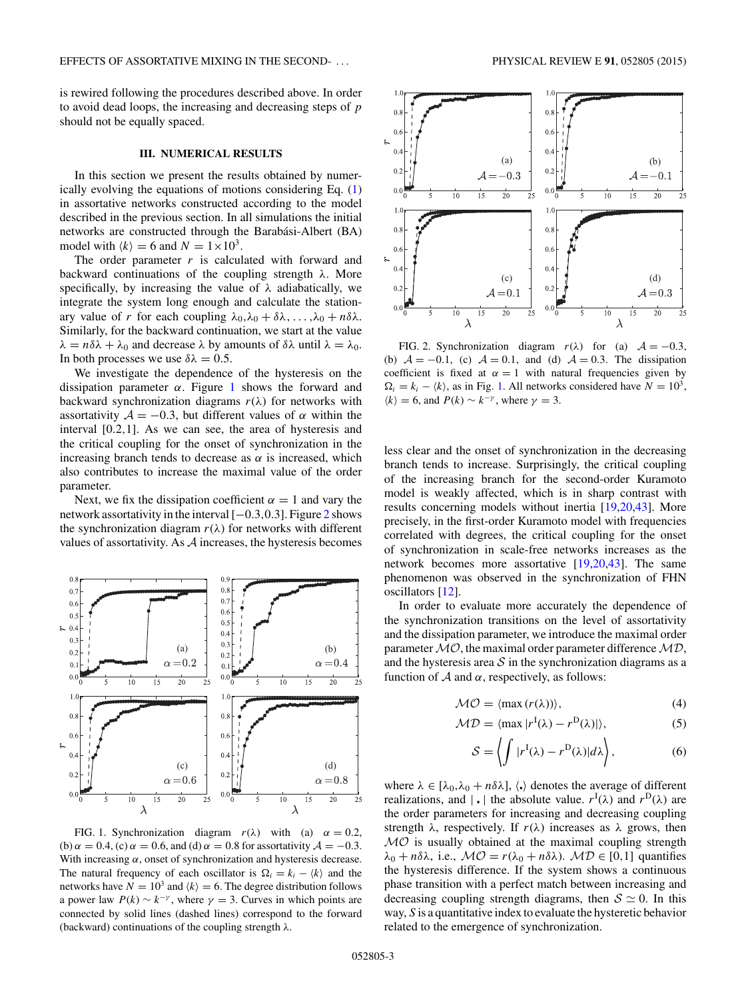<span id="page-2-0"></span>is rewired following the procedures described above. In order to avoid dead loops, the increasing and decreasing steps of *p* should not be equally spaced.

## **III. NUMERICAL RESULTS**

In this section we present the results obtained by numerically evolving the equations of motions considering Eq. [\(1\)](#page-1-0) in assortative networks constructed according to the model described in the previous section. In all simulations the initial networks are constructed through the Barabási-Albert (BA) model with  $\langle k \rangle = 6$  and  $N = 1 \times 10^3$ .

The order parameter  $r$  is calculated with forward and backward continuations of the coupling strength *λ*. More specifically, by increasing the value of *λ* adiabatically, we integrate the system long enough and calculate the stationary value of *r* for each coupling  $\lambda_0, \lambda_0 + \delta \lambda, \ldots, \lambda_0 + n \delta \lambda$ . Similarly, for the backward continuation, we start at the value *λ* =  $n\delta\lambda + \lambda_0$  and decrease  $\lambda$  by amounts of  $\delta\lambda$  until  $\lambda = \lambda_0$ . In both processes we use  $\delta \lambda = 0.5$ .

We investigate the dependence of the hysteresis on the dissipation parameter  $\alpha$ . Figure 1 shows the forward and backward synchronization diagrams  $r(\lambda)$  for networks with assortativity  $A = -0.3$ , but different values of  $\alpha$  within the interval [0*.*2*,*1]. As we can see, the area of hysteresis and the critical coupling for the onset of synchronization in the increasing branch tends to decrease as  $\alpha$  is increased, which also contributes to increase the maximal value of the order parameter.

Next, we fix the dissipation coefficient  $\alpha = 1$  and vary the network assortativity in the interval [−0*.*3*,*0*.*3]. Figure 2 shows the synchronization diagram  $r(\lambda)$  for networks with different values of assortativity. As A increases, the hysteresis becomes



FIG. 1. Synchronization diagram  $r(\lambda)$  with (a)  $\alpha = 0.2$ , (b)  $\alpha = 0.4$ , (c)  $\alpha = 0.6$ , and (d)  $\alpha = 0.8$  for assortativity  $\mathcal{A} = -0.3$ . With increasing  $\alpha$ , onset of synchronization and hysteresis decrease. The natural frequency of each oscillator is  $\Omega_i = k_i - \langle k \rangle$  and the networks have  $N = 10^3$  and  $\langle k \rangle = 6$ . The degree distribution follows a power law  $P(k) \sim k^{-\gamma}$ , where  $\gamma = 3$ . Curves in which points are connected by solid lines (dashed lines) correspond to the forward (backward) continuations of the coupling strength *λ*.



FIG. 2. Synchronization diagram  $r(\lambda)$  for (a)  $A = -0.3$ , (b)  $A = -0.1$ , (c)  $A = 0.1$ , and (d)  $A = 0.3$ . The dissipation coefficient is fixed at  $\alpha = 1$  with natural frequencies given by  $\Omega_i = k_i - \langle k \rangle$ , as in Fig. 1. All networks considered have  $N = 10^3$ ,  $\langle k \rangle = 6$ , and  $P(k) \sim k^{-\gamma}$ , where  $\gamma = 3$ .

less clear and the onset of synchronization in the decreasing branch tends to increase. Surprisingly, the critical coupling of the increasing branch for the second-order Kuramoto model is weakly affected, which is in sharp contrast with results concerning models without inertia [\[19,20,43\]](#page-5-0). More precisely, in the first-order Kuramoto model with frequencies correlated with degrees, the critical coupling for the onset of synchronization in scale-free networks increases as the network becomes more assortative [\[19,20,43\]](#page-5-0). The same phenomenon was observed in the synchronization of FHN oscillators [\[12\]](#page-5-0).

In order to evaluate more accurately the dependence of the synchronization transitions on the level of assortativity and the dissipation parameter, we introduce the maximal order parameter  $MO$ , the maximal order parameter difference  $MD$ , and the hysteresis area  $S$  in the synchronization diagrams as a function of  $A$  and  $\alpha$ , respectively, as follows:

$$
\mathcal{MO} = \langle \max(r(\lambda)) \rangle, \tag{4}
$$

$$
\mathcal{MD} = \langle \max |r^{I}(\lambda) - r^{D}(\lambda)| \rangle, \tag{5}
$$

$$
S = \left\langle \int |r^{I}(\lambda) - r^{D}(\lambda)| d\lambda \right\rangle, \tag{6}
$$

where  $\lambda \in [\lambda_0, \lambda_0 + n\delta\lambda]$ ,  $\langle \cdot \rangle$  denotes the average of different realizations, and  $|\cdot|$  the absolute value.  $r^{I}(\lambda)$  and  $r^{D}(\lambda)$  are the order parameters for increasing and decreasing coupling strength  $\lambda$ , respectively. If  $r(\lambda)$  increases as  $\lambda$  grows, then  $MO$  is usually obtained at the maximal coupling strength  $λ_0 + nδλ$ , i.e.,  $MO = r(λ_0 + nδλ)$ .  $MD ∈ [0,1]$  quantifies the hysteresis difference. If the system shows a continuous phase transition with a perfect match between increasing and decreasing coupling strength diagrams, then  $S \simeq 0$ . In this way, *S* is a quantitative index to evaluate the hysteretic behavior related to the emergence of synchronization.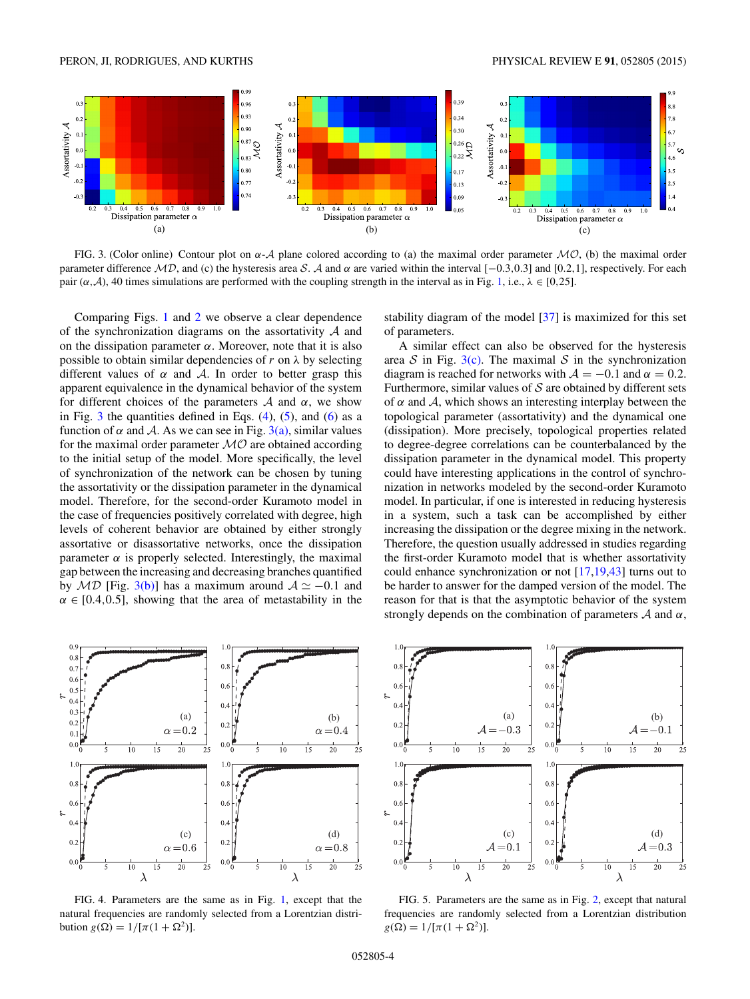<span id="page-3-0"></span>

FIG. 3. (Color online) Contour plot on *α*-A plane colored according to (a) the maximal order parameter MO, (b) the maximal order parameter difference MD, and (c) the hysteresis area S. A and *α* are varied within the interval [−0*.*3*,*0*.*3] and [0*.*2*,*1], respectively. For each pair  $(\alpha, \mathcal{A})$ , 40 times simulations are performed with the coupling strength in the interval as in Fig. [1,](#page-2-0) i.e.,  $\lambda \in [0, 25]$ .

Comparing Figs. [1](#page-2-0) and [2](#page-2-0) we observe a clear dependence of the synchronization diagrams on the assortativity  $A$  and on the dissipation parameter  $\alpha$ . Moreover, note that it is also possible to obtain similar dependencies of *r* on *λ* by selecting different values of  $\alpha$  and  $\beta$ . In order to better grasp this apparent equivalence in the dynamical behavior of the system for different choices of the parameters  $A$  and  $\alpha$ , we show in Fig.  $3$  the quantities defined in Eqs. [\(4\)](#page-2-0), [\(5\)](#page-2-0), and [\(6\)](#page-2-0) as a function of  $\alpha$  and A. As we can see in Fig. 3(a), similar values for the maximal order parameter  $MO$  are obtained according to the initial setup of the model. More specifically, the level of synchronization of the network can be chosen by tuning the assortativity or the dissipation parameter in the dynamical model. Therefore, for the second-order Kuramoto model in the case of frequencies positively correlated with degree, high levels of coherent behavior are obtained by either strongly assortative or disassortative networks, once the dissipation parameter  $\alpha$  is properly selected. Interestingly, the maximal gap between the increasing and decreasing branches quantified by  $MD$  [Fig. 3(b)] has a maximum around  $A \simeq -0.1$  and  $\alpha \in [0.4, 0.5]$ , showing that the area of metastability in the



FIG. 4. Parameters are the same as in Fig. [1,](#page-2-0) except that the natural frequencies are randomly selected from a Lorentzian distribution *g*(Ω) =  $1/[\pi(1 + \Omega^2)]$ .

stability diagram of the model [\[37\]](#page-5-0) is maximized for this set of parameters.

A similar effect can also be observed for the hysteresis area S in Fig.  $3(c)$ . The maximal S in the synchronization diagram is reached for networks with  $A = -0.1$  and  $\alpha = 0.2$ . Furthermore, similar values of  $S$  are obtained by different sets of  $\alpha$  and  $\mathcal{A}$ , which shows an interesting interplay between the topological parameter (assortativity) and the dynamical one (dissipation). More precisely, topological properties related to degree-degree correlations can be counterbalanced by the dissipation parameter in the dynamical model. This property could have interesting applications in the control of synchronization in networks modeled by the second-order Kuramoto model. In particular, if one is interested in reducing hysteresis in a system, such a task can be accomplished by either increasing the dissipation or the degree mixing in the network. Therefore, the question usually addressed in studies regarding the first-order Kuramoto model that is whether assortativity could enhance synchronization or not [\[17,19,43\]](#page-5-0) turns out to be harder to answer for the damped version of the model. The reason for that is that the asymptotic behavior of the system strongly depends on the combination of parameters A and *α*,



FIG. 5. Parameters are the same as in Fig. [2,](#page-2-0) except that natural frequencies are randomly selected from a Lorentzian distribution  $g(\Omega) = 1/[\pi(1 + \Omega^2)].$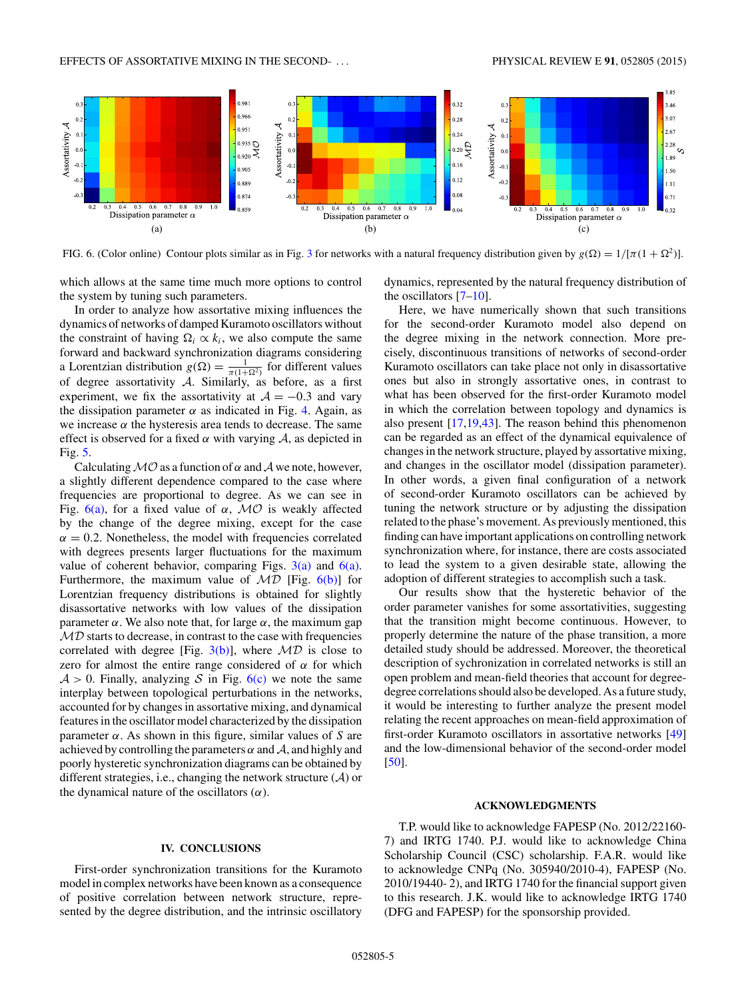EFFECTS OF ASSORTATIVE MIXING IN THE SECOND- . . . PHYSICAL REVIEW E **91**, 052805 (2015)



FIG. 6. (Color online) Contour plots similar as in Fig. [3](#page-3-0) for networks with a natural frequency distribution given by  $g(\Omega) = 1/[\pi(1 + \Omega^2)]$ .

which allows at the same time much more options to control the system by tuning such parameters.

In order to analyze how assortative mixing influences the dynamics of networks of damped Kuramoto oscillators without the constraint of having  $\Omega_i \propto k_i$ , we also compute the same forward and backward synchronization diagrams considering a Lorentzian distribution  $g(\Omega) = \frac{1}{\pi(1+\Omega^2)}$  for different values of degree assortativity  $A$ . Similarly, as before, as a first experiment, we fix the assortativity at  $A = -0.3$  and vary the dissipation parameter  $\alpha$  as indicated in Fig. [4.](#page-3-0) Again, as we increase  $\alpha$  the hysteresis area tends to decrease. The same effect is observed for a fixed  $\alpha$  with varying  $\mathcal{A}$ , as depicted in Fig. [5.](#page-3-0)

Calculating  $MO$  as a function of  $\alpha$  and  $\mathcal A$  we note, however, a slightly different dependence compared to the case where frequencies are proportional to degree. As we can see in Fig.  $6(a)$ , for a fixed value of  $α$ ,  $MO$  is weakly affected by the change of the degree mixing, except for the case  $\alpha = 0.2$ . Nonetheless, the model with frequencies correlated with degrees presents larger fluctuations for the maximum value of coherent behavior, comparing Figs.  $3(a)$  and  $6(a)$ . Furthermore, the maximum value of  $MD$  [Fig.  $6(b)$ ] for Lorentzian frequency distributions is obtained for slightly disassortative networks with low values of the dissipation parameter *α*. We also note that, for large *α*, the maximum gap  $MD$  starts to decrease, in contrast to the case with frequencies correlated with degree [Fig.  $3(b)$ ], where  $MD$  is close to zero for almost the entire range considered of  $\alpha$  for which  $A > 0$ . Finally, analyzing S in Fig. 6(c) we note the same interplay between topological perturbations in the networks, accounted for by changes in assortative mixing, and dynamical features in the oscillator model characterized by the dissipation parameter *α*. As shown in this figure, similar values of *S* are achieved by controlling the parameters  $\alpha$  and  $\mathcal{A}$ , and highly and poorly hysteretic synchronization diagrams can be obtained by different strategies, i.e., changing the network structure  $(A)$  or the dynamical nature of the oscillators (*α*).

### **IV. CONCLUSIONS**

First-order synchronization transitions for the Kuramoto model in complex networks have been known as a consequence of positive correlation between network structure, represented by the degree distribution, and the intrinsic oscillatory

dynamics, represented by the natural frequency distribution of the oscillators  $[7-10]$ .

Here, we have numerically shown that such transitions for the second-order Kuramoto model also depend on the degree mixing in the network connection. More precisely, discontinuous transitions of networks of second-order Kuramoto oscillators can take place not only in disassortative ones but also in strongly assortative ones, in contrast to what has been observed for the first-order Kuramoto model in which the correlation between topology and dynamics is also present [\[17,19,43\]](#page-5-0). The reason behind this phenomenon can be regarded as an effect of the dynamical equivalence of changes in the network structure, played by assortative mixing, and changes in the oscillator model (dissipation parameter). In other words, a given final configuration of a network of second-order Kuramoto oscillators can be achieved by tuning the network structure or by adjusting the dissipation related to the phase's movement. As previously mentioned, this finding can have important applications on controlling network synchronization where, for instance, there are costs associated to lead the system to a given desirable state, allowing the adoption of different strategies to accomplish such a task.

Our results show that the hysteretic behavior of the order parameter vanishes for some assortativities, suggesting that the transition might become continuous. However, to properly determine the nature of the phase transition, a more detailed study should be addressed. Moreover, the theoretical description of sychronization in correlated networks is still an open problem and mean-field theories that account for degreedegree correlations should also be developed. As a future study, it would be interesting to further analyze the present model relating the recent approaches on mean-field approximation of first-order Kuramoto oscillators in assortative networks [\[49\]](#page-5-0) and the low-dimensional behavior of the second-order model [\[50\]](#page-5-0).

## **ACKNOWLEDGMENTS**

T.P. would like to acknowledge FAPESP (No. 2012/22160- 7) and IRTG 1740. P.J. would like to acknowledge China Scholarship Council (CSC) scholarship. F.A.R. would like to acknowledge CNPq (No. 305940/2010-4), FAPESP (No. 2010/19440- 2), and IRTG 1740 for the financial support given to this research. J.K. would like to acknowledge IRTG 1740 (DFG and FAPESP) for the sponsorship provided.